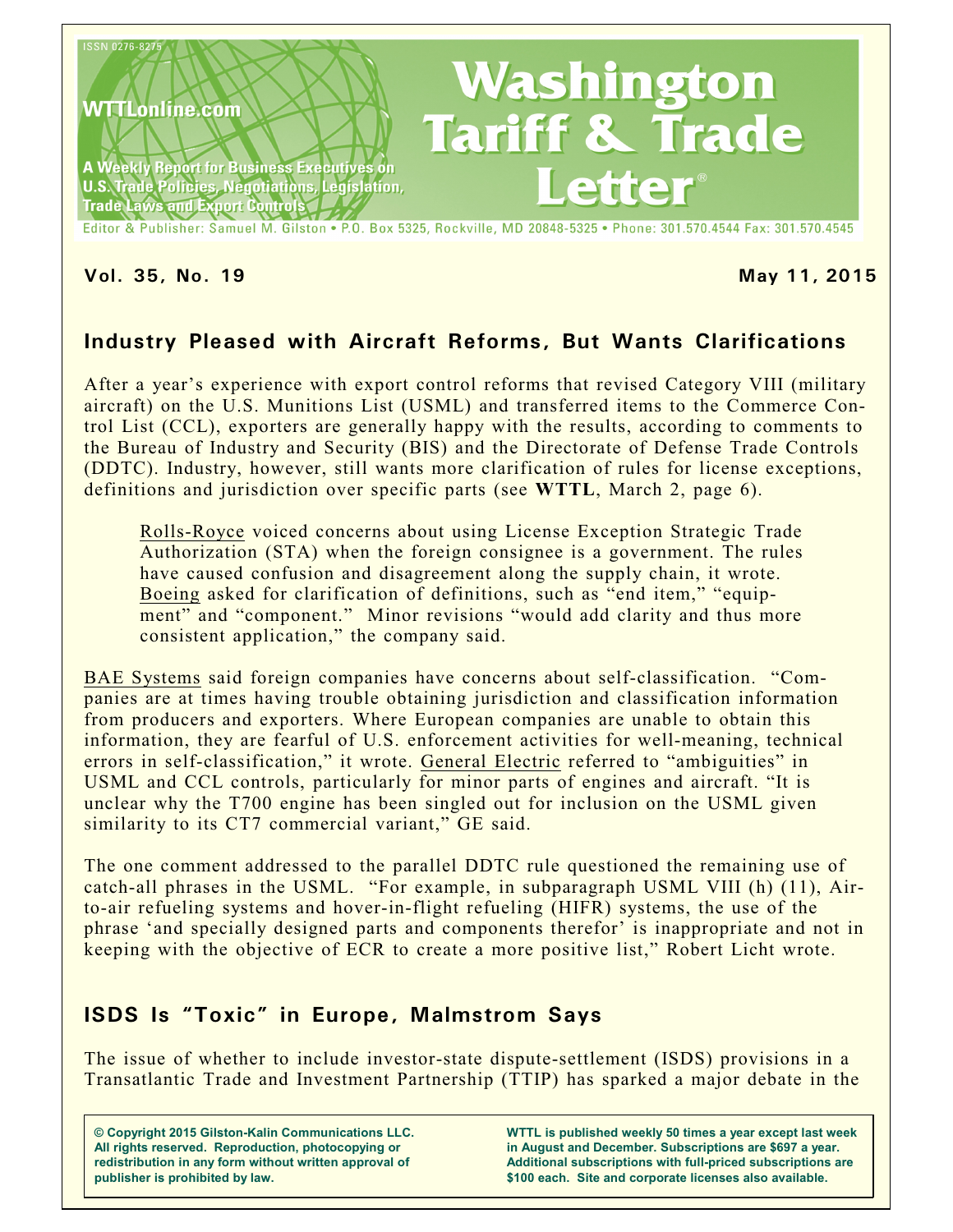

**Vol. 35, No. 19 May 11, 2015**

# **Industry Pleased with Aircraft Reforms, But Wants Clarifications**

After a year's experience with export control reforms that revised Category VIII (military aircraft) on the U.S. Munitions List (USML) and transferred items to the Commerce Control List (CCL), exporters are generally happy with the results, according to comments to the Bureau of Industry and Security (BIS) and the Directorate of Defense Trade Controls (DDTC). Industry, however, still wants more clarification of rules for license exceptions, definitions and jurisdiction over specific parts (see **WTTL**, March 2, page 6).

Rolls-Royce voiced concerns about using License Exception Strategic Trade Authorization (STA) when the foreign consignee is a government. The rules have caused confusion and disagreement along the supply chain, it wrote. Boeing asked for clarification of definitions, such as "end item," "equipment" and "component." Minor revisions "would add clarity and thus more consistent application," the company said.

BAE Systems said foreign companies have concerns about self-classification. "Companies are at times having trouble obtaining jurisdiction and classification information from producers and exporters. Where European companies are unable to obtain this information, they are fearful of U.S. enforcement activities for well-meaning, technical errors in self-classification," it wrote. General Electric referred to "ambiguities" in USML and CCL controls, particularly for minor parts of engines and aircraft. "It is unclear why the T700 engine has been singled out for inclusion on the USML given similarity to its CT7 commercial variant," GE said.

The one comment addressed to the parallel DDTC rule questioned the remaining use of catch-all phrases in the USML. "For example, in subparagraph USML VIII (h) (11), Airto-air refueling systems and hover-in-flight refueling (HIFR) systems, the use of the phrase 'and specially designed parts and components therefor' is inappropriate and not in keeping with the objective of ECR to create a more positive list," Robert Licht wrote.

## **ISDS Is "Toxic" in Europe, Malmstrom Says**

The issue of whether to include investor-state dispute-settlement (ISDS) provisions in a Transatlantic Trade and Investment Partnership (TTIP) has sparked a major debate in the

**© Copyright 2015 Gilston-Kalin Communications LLC. All rights reserved. Reproduction, photocopying or redistribution in any form without written approval of publisher is prohibited by law.** 

**WTTL is published weekly 50 times a year except last week in August and December. Subscriptions are \$697 a year. Additional subscriptions with full-priced subscriptions are \$100 each. Site and corporate licenses also available.**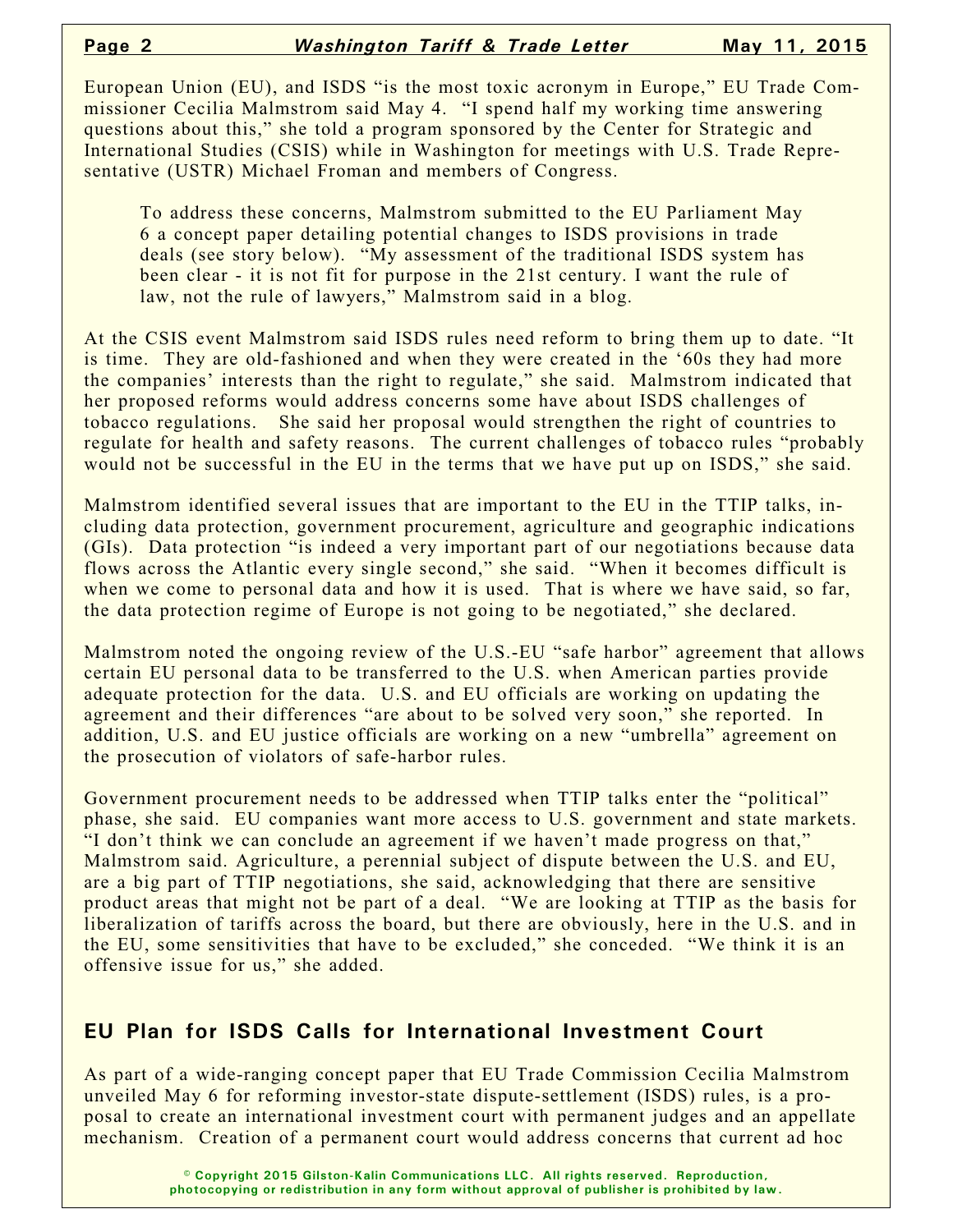European Union (EU), and ISDS "is the most toxic acronym in Europe," EU Trade Commissioner Cecilia Malmstrom said May 4. "I spend half my working time answering questions about this," she told a program sponsored by the Center for Strategic and International Studies (CSIS) while in Washington for meetings with U.S. Trade Representative (USTR) Michael Froman and members of Congress.

To address these concerns, Malmstrom submitted to the EU Parliament May 6 a concept paper detailing potential changes to ISDS provisions in trade deals (see story below). "My assessment of the traditional ISDS system has been clear - it is not fit for purpose in the 21st century. I want the rule of law, not the rule of lawyers," Malmstrom said in a blog.

At the CSIS event Malmstrom said ISDS rules need reform to bring them up to date. "It is time. They are old-fashioned and when they were created in the '60s they had more the companies' interests than the right to regulate," she said. Malmstrom indicated that her proposed reforms would address concerns some have about ISDS challenges of tobacco regulations. She said her proposal would strengthen the right of countries to regulate for health and safety reasons. The current challenges of tobacco rules "probably would not be successful in the EU in the terms that we have put up on ISDS," she said.

Malmstrom identified several issues that are important to the EU in the TTIP talks, including data protection, government procurement, agriculture and geographic indications (GIs). Data protection "is indeed a very important part of our negotiations because data flows across the Atlantic every single second," she said. "When it becomes difficult is when we come to personal data and how it is used. That is where we have said, so far, the data protection regime of Europe is not going to be negotiated," she declared.

Malmstrom noted the ongoing review of the U.S.-EU "safe harbor" agreement that allows certain EU personal data to be transferred to the U.S. when American parties provide adequate protection for the data. U.S. and EU officials are working on updating the agreement and their differences "are about to be solved very soon," she reported. In addition, U.S. and EU justice officials are working on a new "umbrella" agreement on the prosecution of violators of safe-harbor rules.

Government procurement needs to be addressed when TTIP talks enter the "political" phase, she said. EU companies want more access to U.S. government and state markets. "I don't think we can conclude an agreement if we haven't made progress on that," Malmstrom said. Agriculture, a perennial subject of dispute between the U.S. and EU, are a big part of TTIP negotiations, she said, acknowledging that there are sensitive product areas that might not be part of a deal. "We are looking at TTIP as the basis for liberalization of tariffs across the board, but there are obviously, here in the U.S. and in the EU, some sensitivities that have to be excluded," she conceded. "We think it is an offensive issue for us," she added.

#### **EU Plan for ISDS Calls for International Investment Court**

As part of a wide-ranging concept paper that EU Trade Commission Cecilia Malmstrom unveiled May 6 for reforming investor-state dispute-settlement (ISDS) rules, is a proposal to create an international investment court with permanent judges and an appellate mechanism. Creation of a permanent court would address concerns that current ad hoc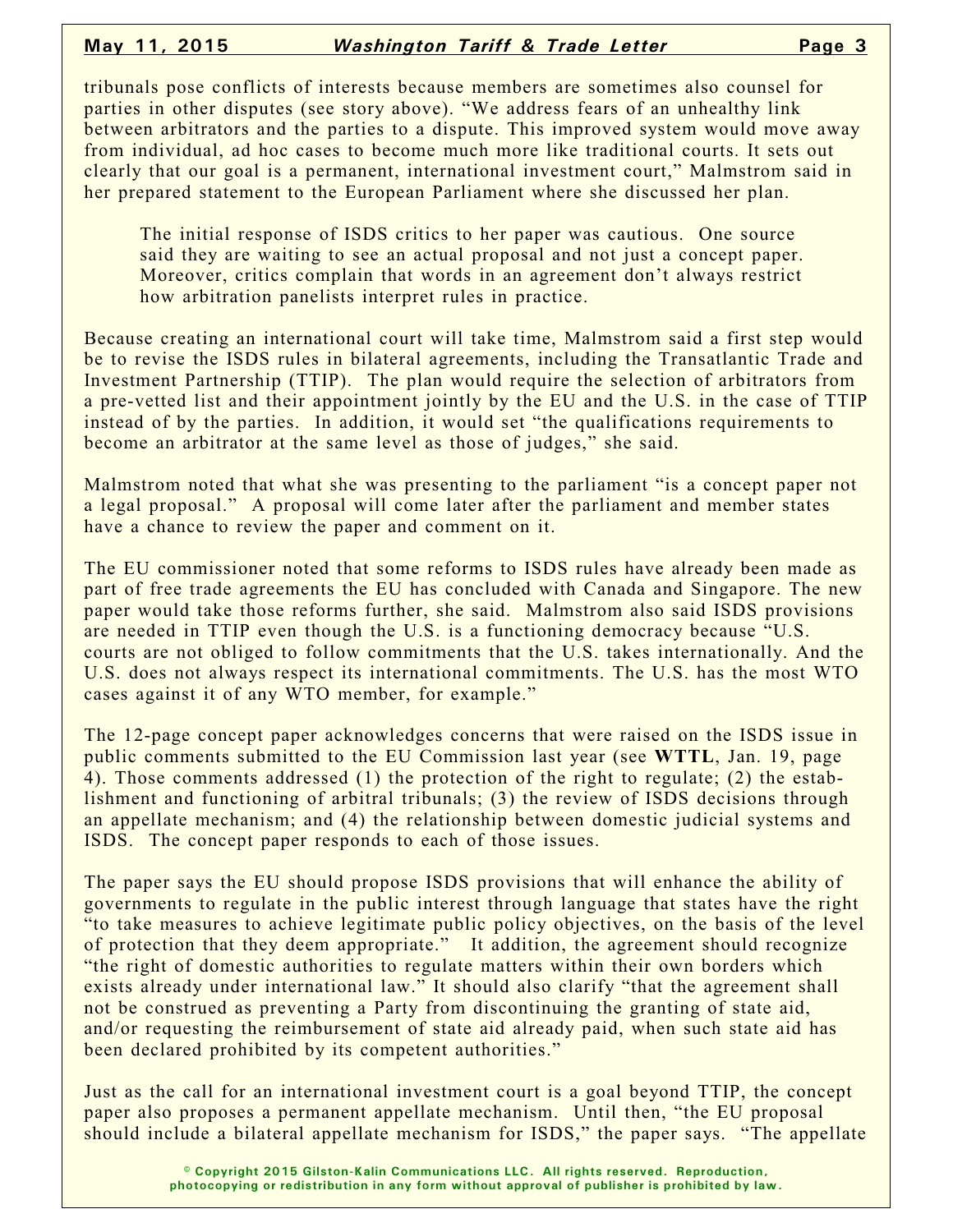tribunals pose conflicts of interests because members are sometimes also counsel for parties in other disputes (see story above). "We address fears of an unhealthy link between arbitrators and the parties to a dispute. This improved system would move away from individual, ad hoc cases to become much more like traditional courts. It sets out clearly that our goal is a permanent, international investment court," Malmstrom said in her prepared statement to the European Parliament where she discussed her plan.

The initial response of ISDS critics to her paper was cautious. One source said they are waiting to see an actual proposal and not just a concept paper. Moreover, critics complain that words in an agreement don't always restrict how arbitration panelists interpret rules in practice.

Because creating an international court will take time, Malmstrom said a first step would be to revise the ISDS rules in bilateral agreements, including the Transatlantic Trade and Investment Partnership (TTIP). The plan would require the selection of arbitrators from a pre-vetted list and their appointment jointly by the EU and the U.S. in the case of TTIP instead of by the parties. In addition, it would set "the qualifications requirements to become an arbitrator at the same level as those of judges," she said.

Malmstrom noted that what she was presenting to the parliament "is a concept paper not a legal proposal." A proposal will come later after the parliament and member states have a chance to review the paper and comment on it.

The EU commissioner noted that some reforms to ISDS rules have already been made as part of free trade agreements the EU has concluded with Canada and Singapore. The new paper would take those reforms further, she said. Malmstrom also said ISDS provisions are needed in TTIP even though the U.S. is a functioning democracy because "U.S. courts are not obliged to follow commitments that the U.S. takes internationally. And the U.S. does not always respect its international commitments. The U.S. has the most WTO cases against it of any WTO member, for example."

The 12-page concept paper acknowledges concerns that were raised on the ISDS issue in public comments submitted to the EU Commission last year (see **WTTL**, Jan. 19, page 4). Those comments addressed (1) the protection of the right to regulate; (2) the establishment and functioning of arbitral tribunals; (3) the review of ISDS decisions through an appellate mechanism; and (4) the relationship between domestic judicial systems and ISDS. The concept paper responds to each of those issues.

The paper says the EU should propose ISDS provisions that will enhance the ability of governments to regulate in the public interest through language that states have the right "to take measures to achieve legitimate public policy objectives, on the basis of the level of protection that they deem appropriate." It addition, the agreement should recognize "the right of domestic authorities to regulate matters within their own borders which exists already under international law." It should also clarify "that the agreement shall not be construed as preventing a Party from discontinuing the granting of state aid, and/or requesting the reimbursement of state aid already paid, when such state aid has been declared prohibited by its competent authorities."

Just as the call for an international investment court is a goal beyond TTIP, the concept paper also proposes a permanent appellate mechanism. Until then, "the EU proposal should include a bilateral appellate mechanism for ISDS," the paper says. "The appellate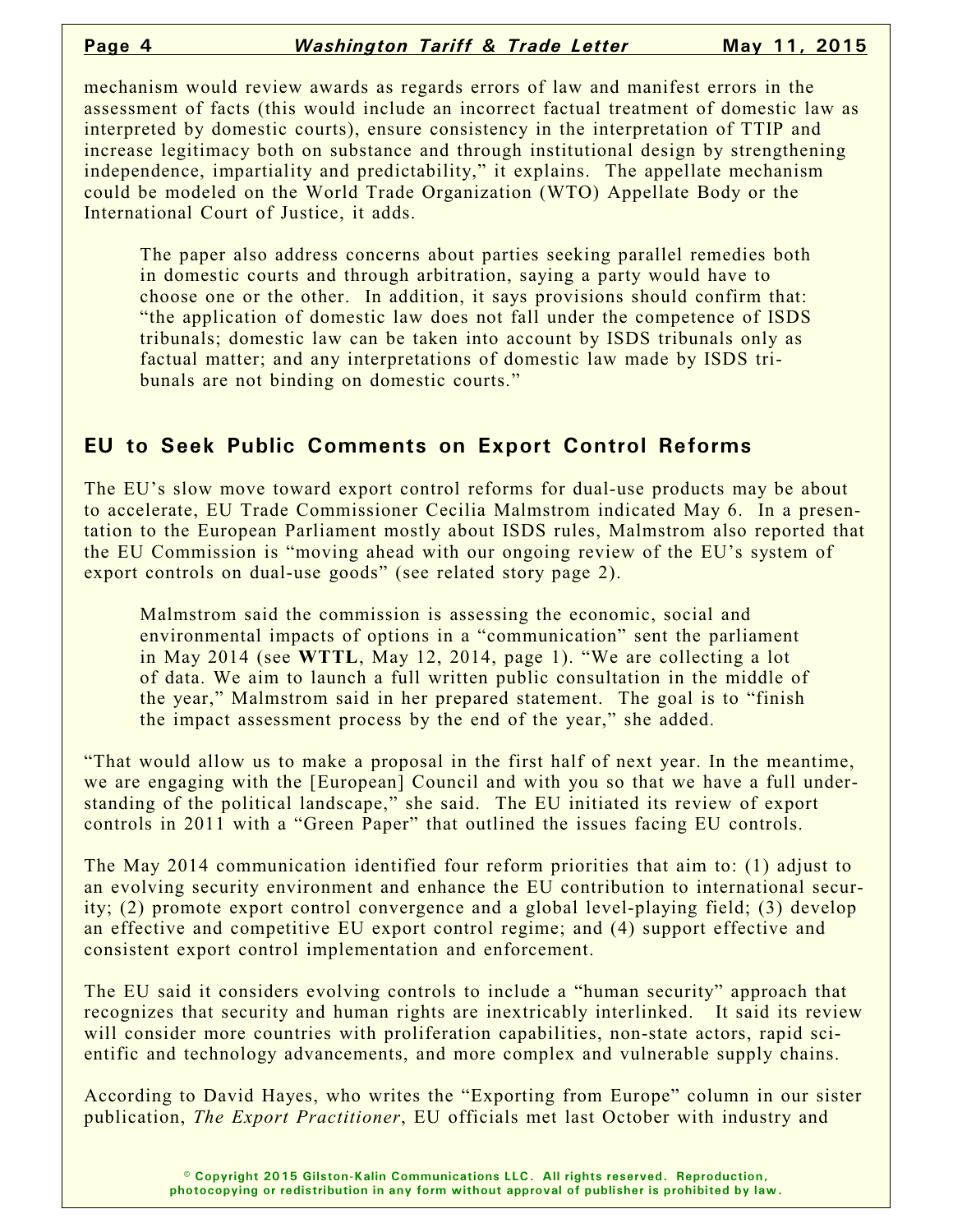mechanism would review awards as regards errors of law and manifest errors in the assessment of facts (this would include an incorrect factual treatment of domestic law as interpreted by domestic courts), ensure consistency in the interpretation of TTIP and increase legitimacy both on substance and through institutional design by strengthening independence, impartiality and predictability," it explains. The appellate mechanism could be modeled on the World Trade Organization (WTO) Appellate Body or the International Court of Justice, it adds.

The paper also address concerns about parties seeking parallel remedies both in domestic courts and through arbitration, saying a party would have to choose one or the other. In addition, it says provisions should confirm that: "the application of domestic law does not fall under the competence of ISDS tribunals; domestic law can be taken into account by ISDS tribunals only as factual matter; and any interpretations of domestic law made by ISDS tribunals are not binding on domestic courts."

### **EU to Seek Public Comments on Export Control Reforms**

The EU's slow move toward export control reforms for dual-use products may be about to accelerate, EU Trade Commissioner Cecilia Malmstrom indicated May 6. In a presentation to the European Parliament mostly about ISDS rules, Malmstrom also reported that the EU Commission is "moving ahead with our ongoing review of the EU's system of export controls on dual-use goods" (see related story page 2).

Malmstrom said the commission is assessing the economic, social and environmental impacts of options in a "communication" sent the parliament in May 2014 (see **WTTL**, May 12, 2014, page 1). "We are collecting a lot of data. We aim to launch a full written public consultation in the middle of the year," Malmstrom said in her prepared statement. The goal is to "finish the impact assessment process by the end of the year," she added.

"That would allow us to make a proposal in the first half of next year. In the meantime, we are engaging with the [European] Council and with you so that we have a full understanding of the political landscape," she said. The EU initiated its review of export controls in 2011 with a "Green Paper" that outlined the issues facing EU controls.

The May 2014 communication identified four reform priorities that aim to: (1) adjust to an evolving security environment and enhance the EU contribution to international security; (2) promote export control convergence and a global level-playing field; (3) develop an effective and competitive EU export control regime; and (4) support effective and consistent export control implementation and enforcement.

The EU said it considers evolving controls to include a "human security" approach that recognizes that security and human rights are inextricably interlinked. It said its review will consider more countries with proliferation capabilities, non-state actors, rapid scientific and technology advancements, and more complex and vulnerable supply chains.

According to David Hayes, who writes the "Exporting from Europe" column in our sister publication, *The Export Practitioner*, EU officials met last October with industry and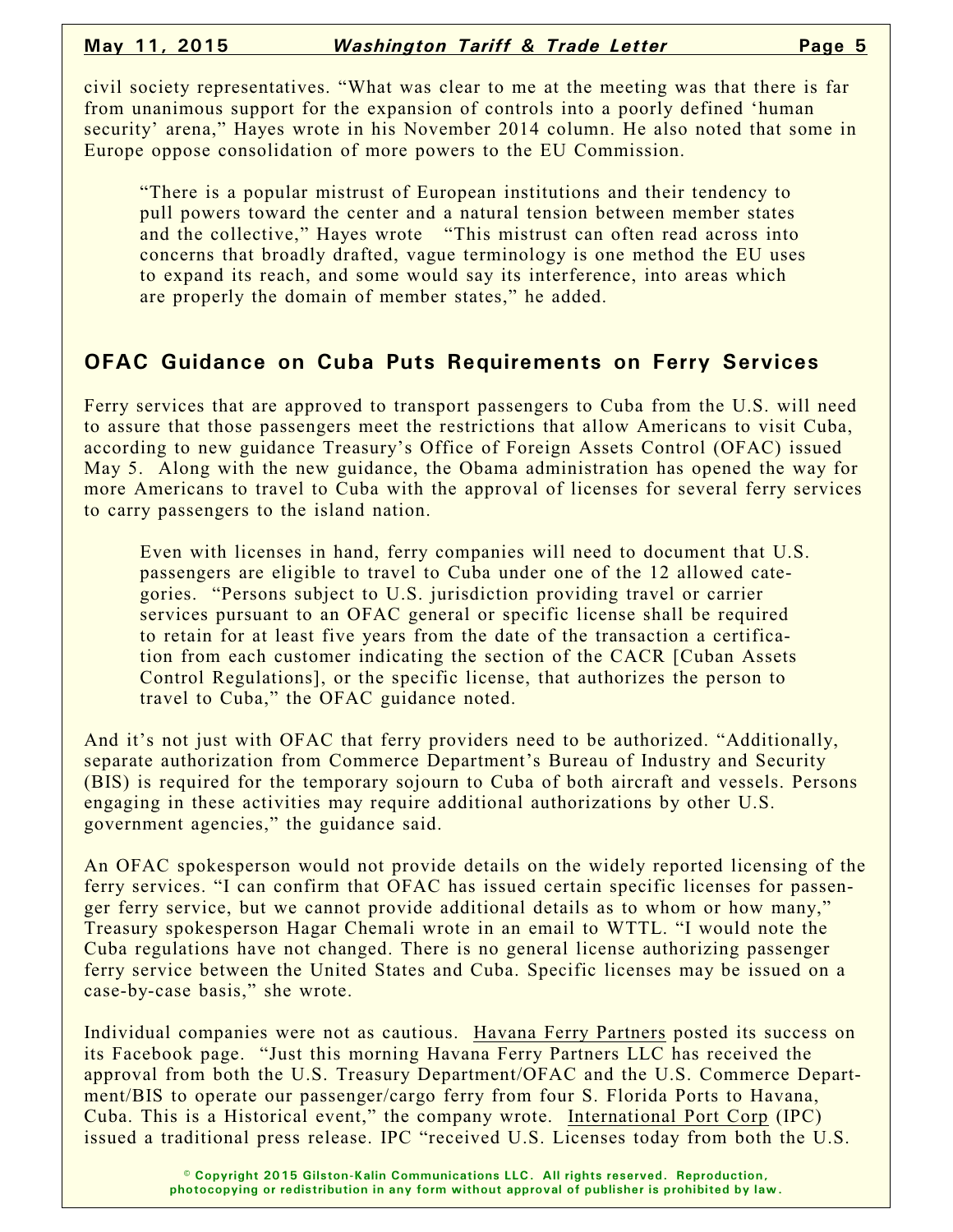civil society representatives. "What was clear to me at the meeting was that there is far from unanimous support for the expansion of controls into a poorly defined 'human security' arena," Hayes wrote in his November 2014 column. He also noted that some in Europe oppose consolidation of more powers to the EU Commission.

"There is a popular mistrust of European institutions and their tendency to pull powers toward the center and a natural tension between member states and the collective," Hayes wrote "This mistrust can often read across into concerns that broadly drafted, vague terminology is one method the EU uses to expand its reach, and some would say its interference, into areas which are properly the domain of member states," he added.

### **OFAC Guidance on Cuba Puts Requirements on Ferry Services**

Ferry services that are approved to transport passengers to Cuba from the U.S. will need to assure that those passengers meet the restrictions that allow Americans to visit Cuba, according to new guidance Treasury's Office of Foreign Assets Control (OFAC) issued May 5. Along with the new guidance, the Obama administration has opened the way for more Americans to travel to Cuba with the approval of licenses for several ferry services to carry passengers to the island nation.

Even with licenses in hand, ferry companies will need to document that U.S. passengers are eligible to travel to Cuba under one of the 12 allowed categories. "Persons subject to U.S. jurisdiction providing travel or carrier services pursuant to an OFAC general or specific license shall be required to retain for at least five years from the date of the transaction a certification from each customer indicating the section of the CACR [Cuban Assets Control Regulations], or the specific license, that authorizes the person to travel to Cuba," the OFAC guidance noted.

And it's not just with OFAC that ferry providers need to be authorized. "Additionally, separate authorization from Commerce Department's Bureau of Industry and Security (BIS) is required for the temporary sojourn to Cuba of both aircraft and vessels. Persons engaging in these activities may require additional authorizations by other U.S. government agencies," the guidance said.

An OFAC spokesperson would not provide details on the widely reported licensing of the ferry services. "I can confirm that OFAC has issued certain specific licenses for passenger ferry service, but we cannot provide additional details as to whom or how many," Treasury spokesperson Hagar Chemali wrote in an email to WTTL. "I would note the Cuba regulations have not changed. There is no general license authorizing passenger ferry service between the United States and Cuba. Specific licenses may be issued on a case-by-case basis," she wrote.

Individual companies were not as cautious. Havana Ferry Partners posted its success on its Facebook page. "Just this morning Havana Ferry Partners LLC has received the approval from both the U.S. Treasury Department/OFAC and the U.S. Commerce Department/BIS to operate our passenger/cargo ferry from four S. Florida Ports to Havana, Cuba. This is a Historical event," the company wrote. International Port Corp (IPC) issued a traditional press release. IPC "received U.S. Licenses today from both the U.S.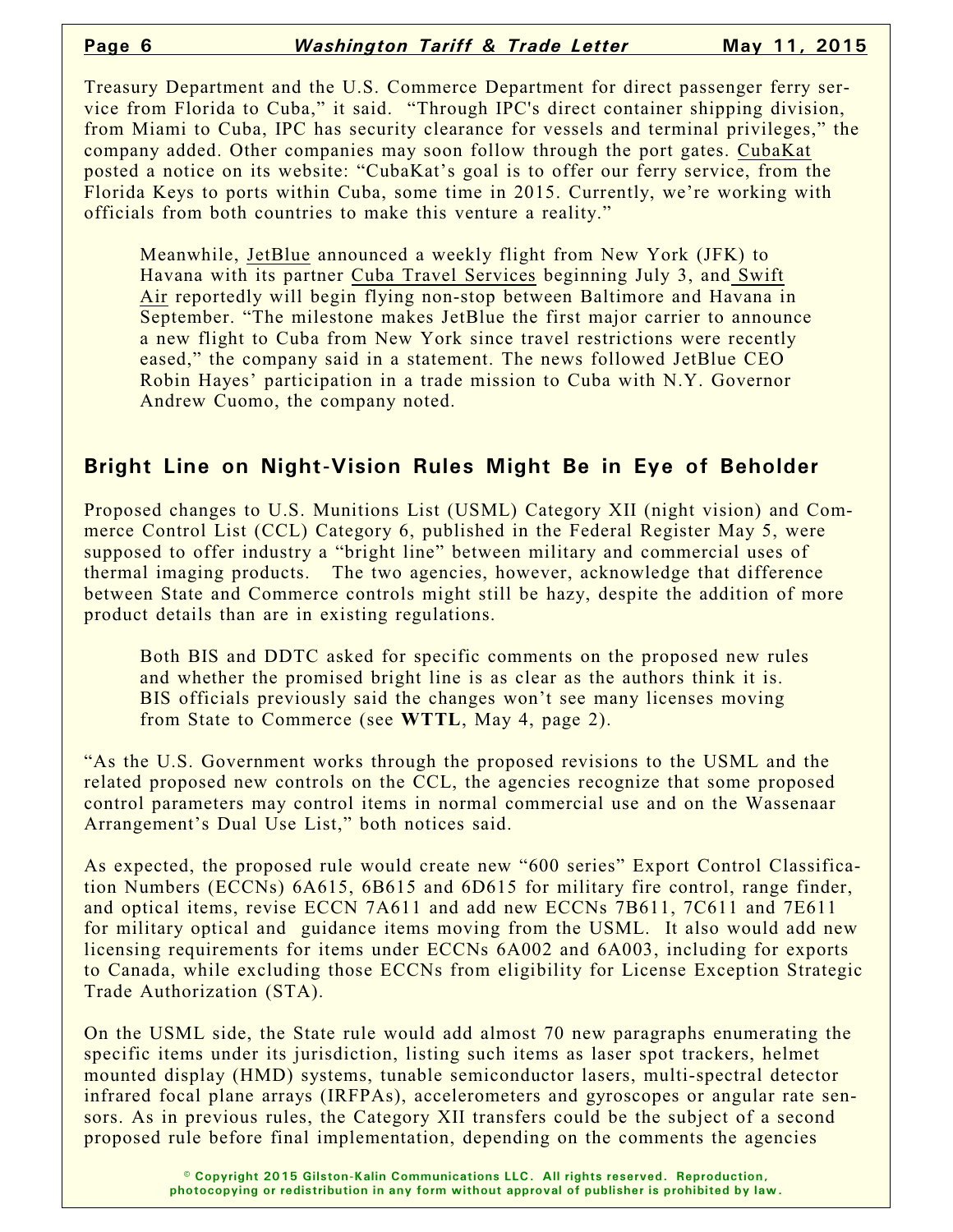Treasury Department and the U.S. Commerce Department for direct passenger ferry service from Florida to Cuba," it said. "Through IPC's direct container shipping division, from Miami to Cuba, IPC has security clearance for vessels and terminal privileges," the company added. Other companies may soon follow through the port gates. CubaKat posted a notice on its website: "CubaKat's goal is to offer our ferry service, from the Florida Keys to ports within Cuba, some time in 2015. Currently, we're working with officials from both countries to make this venture a reality."

Meanwhile, JetBlue announced a weekly flight from New York (JFK) to Havana with its partner Cuba Travel Services beginning July 3, and Swift Air reportedly will begin flying non-stop between Baltimore and Havana in September. "The milestone makes JetBlue the first major carrier to announce a new flight to Cuba from New York since travel restrictions were recently eased," the company said in a statement. The news followed JetBlue CEO Robin Hayes' participation in a trade mission to Cuba with N.Y. Governor Andrew Cuomo, the company noted.

#### **Bright Line on Night-Vision Rules Might Be in Eye of Beholder**

Proposed changes to U.S. Munitions List (USML) Category XII (night vision) and Commerce Control List (CCL) Category 6, published in the Federal Register May 5, were supposed to offer industry a "bright line" between military and commercial uses of thermal imaging products. The two agencies, however, acknowledge that difference between State and Commerce controls might still be hazy, despite the addition of more product details than are in existing regulations.

Both BIS and DDTC asked for specific comments on the proposed new rules and whether the promised bright line is as clear as the authors think it is. BIS officials previously said the changes won't see many licenses moving from State to Commerce (see **WTTL**, May 4, page 2).

"As the U.S. Government works through the proposed revisions to the USML and the related proposed new controls on the CCL, the agencies recognize that some proposed control parameters may control items in normal commercial use and on the Wassenaar Arrangement's Dual Use List," both notices said.

As expected, the proposed rule would create new "600 series" Export Control Classification Numbers (ECCNs) 6A615, 6B615 and 6D615 for military fire control, range finder, and optical items, revise ECCN 7A611 and add new ECCNs 7B611, 7C611 and 7E611 for military optical and guidance items moving from the USML. It also would add new licensing requirements for items under ECCNs 6A002 and 6A003, including for exports to Canada, while excluding those ECCNs from eligibility for License Exception Strategic Trade Authorization (STA).

On the USML side, the State rule would add almost 70 new paragraphs enumerating the specific items under its jurisdiction, listing such items as laser spot trackers, helmet mounted display (HMD) systems, tunable semiconductor lasers, multi-spectral detector infrared focal plane arrays (IRFPAs), accelerometers and gyroscopes or angular rate sensors. As in previous rules, the Category XII transfers could be the subject of a second proposed rule before final implementation, depending on the comments the agencies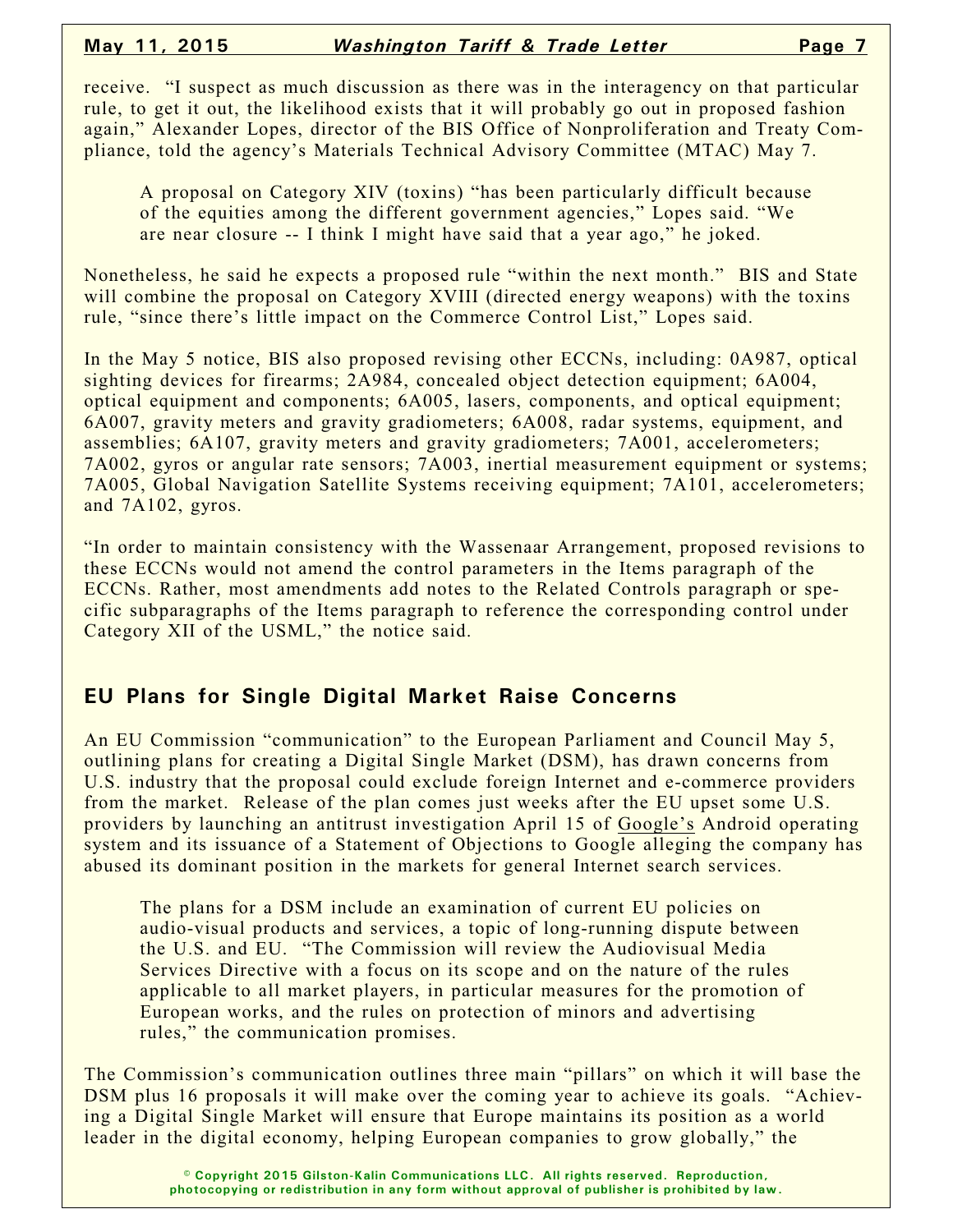receive. "I suspect as much discussion as there was in the interagency on that particular rule, to get it out, the likelihood exists that it will probably go out in proposed fashion again," Alexander Lopes, director of the BIS Office of Nonproliferation and Treaty Compliance, told the agency's Materials Technical Advisory Committee (MTAC) May 7.

A proposal on Category XIV (toxins) "has been particularly difficult because of the equities among the different government agencies," Lopes said. "We are near closure -- I think I might have said that a year ago," he joked.

Nonetheless, he said he expects a proposed rule "within the next month." BIS and State will combine the proposal on Category XVIII (directed energy weapons) with the toxins rule, "since there's little impact on the Commerce Control List," Lopes said.

In the May 5 notice, BIS also proposed revising other ECCNs, including: 0A987, optical sighting devices for firearms; 2A984, concealed object detection equipment; 6A004, optical equipment and components; 6A005, lasers, components, and optical equipment; 6A007, gravity meters and gravity gradiometers; 6A008, radar systems, equipment, and assemblies; 6A107, gravity meters and gravity gradiometers; 7A001, accelerometers; 7A002, gyros or angular rate sensors; 7A003, inertial measurement equipment or systems; 7A005, Global Navigation Satellite Systems receiving equipment; 7A101, accelerometers; and 7A102, gyros.

"In order to maintain consistency with the Wassenaar Arrangement, proposed revisions to these ECCNs would not amend the control parameters in the Items paragraph of the ECCNs. Rather, most amendments add notes to the Related Controls paragraph or specific subparagraphs of the Items paragraph to reference the corresponding control under Category XII of the USML," the notice said.

## **EU Plans for Single Digital Market Raise Concerns**

An EU Commission "communication" to the European Parliament and Council May 5, outlining plans for creating a Digital Single Market (DSM), has drawn concerns from U.S. industry that the proposal could exclude foreign Internet and e-commerce providers from the market. Release of the plan comes just weeks after the EU upset some U.S. providers by launching an antitrust investigation April 15 of Google's Android operating system and its issuance of a Statement of Objections to Google alleging the company has abused its dominant position in the markets for general Internet search services.

The plans for a DSM include an examination of current EU policies on audio-visual products and services, a topic of long-running dispute between the U.S. and EU. "The Commission will review the Audiovisual Media Services Directive with a focus on its scope and on the nature of the rules applicable to all market players, in particular measures for the promotion of European works, and the rules on protection of minors and advertising rules," the communication promises.

The Commission's communication outlines three main "pillars" on which it will base the DSM plus 16 proposals it will make over the coming year to achieve its goals. "Achieving a Digital Single Market will ensure that Europe maintains its position as a world leader in the digital economy, helping European companies to grow globally," the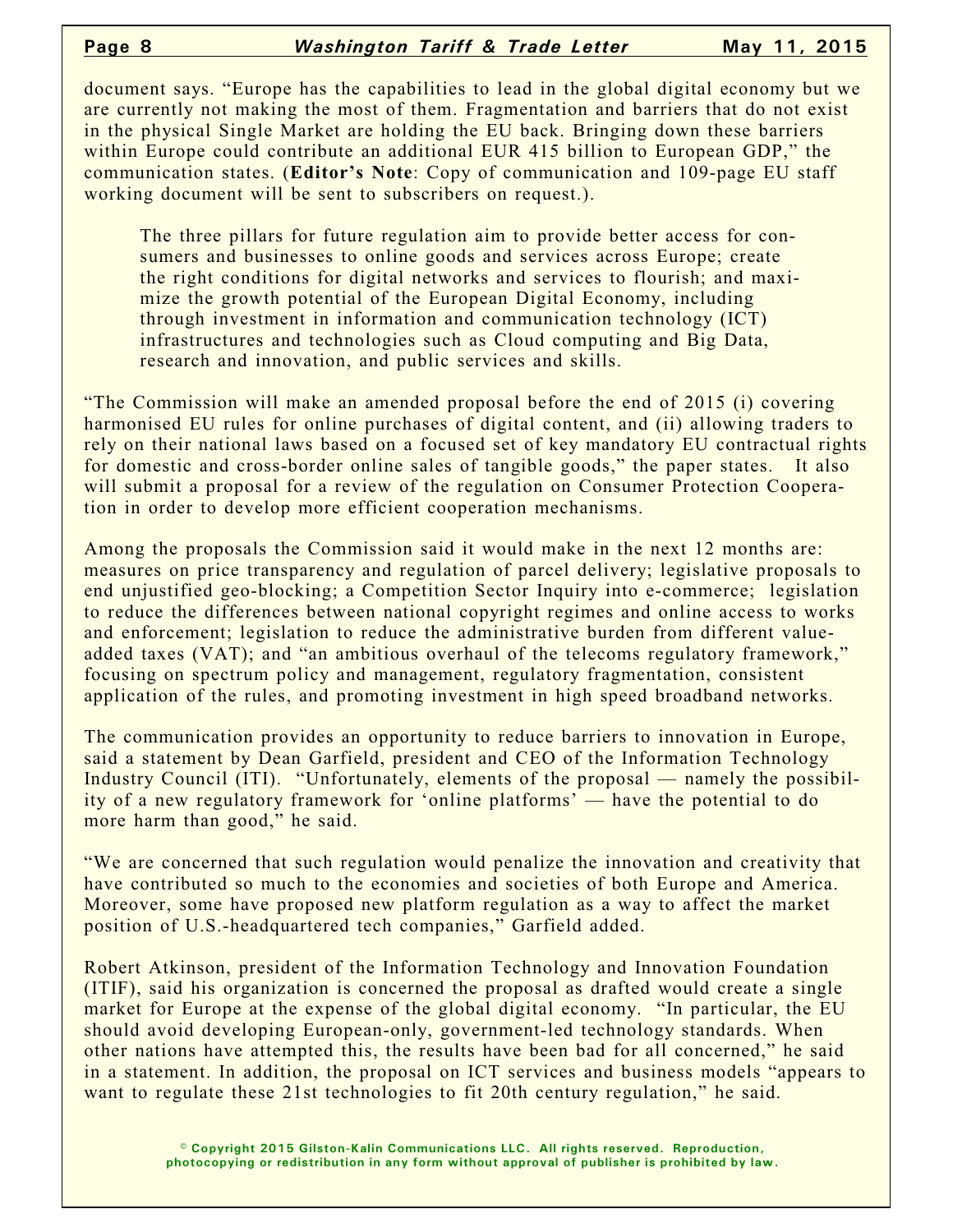#### **Page 8** *Washington Tariff & Trade Letter* **May 11, 2015**

document says. "Europe has the capabilities to lead in the global digital economy but we are currently not making the most of them. Fragmentation and barriers that do not exist in the physical Single Market are holding the EU back. Bringing down these barriers within Europe could contribute an additional EUR 415 billion to European GDP," the communication states. (**Editor's Note**: Copy of communication and 109-page EU staff working document will be sent to subscribers on request.).

The three pillars for future regulation aim to provide better access for consumers and businesses to online goods and services across Europe; create the right conditions for digital networks and services to flourish; and maximize the growth potential of the European Digital Economy, including through investment in information and communication technology (ICT) infrastructures and technologies such as Cloud computing and Big Data, research and innovation, and public services and skills.

"The Commission will make an amended proposal before the end of 2015 (i) covering harmonised EU rules for online purchases of digital content, and (ii) allowing traders to rely on their national laws based on a focused set of key mandatory EU contractual rights for domestic and cross-border online sales of tangible goods," the paper states. It also will submit a proposal for a review of the regulation on Consumer Protection Cooperation in order to develop more efficient cooperation mechanisms.

Among the proposals the Commission said it would make in the next 12 months are: measures on price transparency and regulation of parcel delivery; legislative proposals to end unjustified geo-blocking; a Competition Sector Inquiry into e-commerce; legislation to reduce the differences between national copyright regimes and online access to works and enforcement; legislation to reduce the administrative burden from different valueadded taxes (VAT); and "an ambitious overhaul of the telecoms regulatory framework," focusing on spectrum policy and management, regulatory fragmentation, consistent application of the rules, and promoting investment in high speed broadband networks.

The communication provides an opportunity to reduce barriers to innovation in Europe, said a statement by Dean Garfield, president and CEO of the Information Technology Industry Council (ITI). "Unfortunately, elements of the proposal — namely the possibility of a new regulatory framework for 'online platforms' — have the potential to do more harm than good," he said.

"We are concerned that such regulation would penalize the innovation and creativity that have contributed so much to the economies and societies of both Europe and America. Moreover, some have proposed new platform regulation as a way to affect the market position of U.S.-headquartered tech companies," Garfield added.

Robert Atkinson, president of the Information Technology and Innovation Foundation (ITIF), said his organization is concerned the proposal as drafted would create a single market for Europe at the expense of the global digital economy. "In particular, the EU should avoid developing European-only, government-led technology standards. When other nations have attempted this, the results have been bad for all concerned," he said in a statement. In addition, the proposal on ICT services and business models "appears to want to regulate these 21st technologies to fit 20th century regulation," he said.